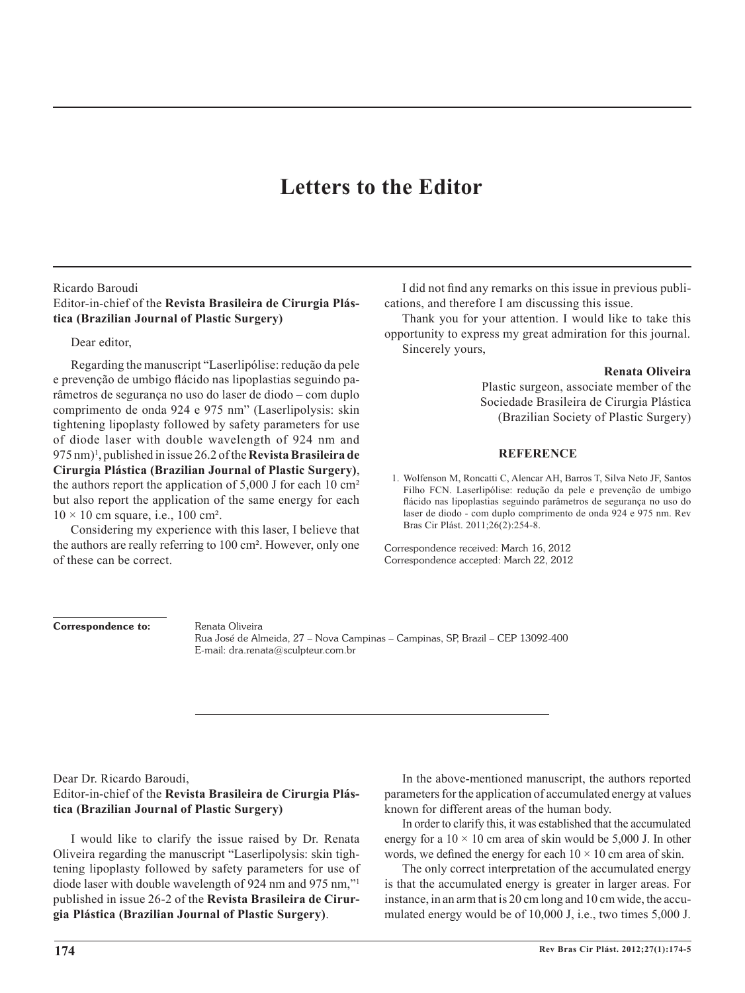# **Letters to the Editor**

### Ricardo Baroudi

## Editor-in-chief of the **Revista Brasileira de Cirurgia Plástica (Brazilian Journal of Plastic Surgery)**

### Dear editor,

Regarding the manuscript "Laserlipólise: redução da pele e prevenção de umbigo flácido nas lipoplastias seguindo parâmetros de segurança no uso do laser de diodo – com duplo comprimento de onda 924 e 975 nm" (Laserlipolysis: skin tightening lipoplasty followed by safety parameters for use of diode laser with double wavelength of 924 nm and 975 nm)1 , published in issue 26.2 of the **Revista Brasileira de Cirurgia Plástica (Brazilian Journal of Plastic Surgery)**, the authors report the application of 5,000 J for each 10 cm² but also report the application of the same energy for each  $10 \times 10$  cm square, i.e., 100 cm<sup>2</sup>.

Considering my experience with this laser, I believe that the authors are really referring to 100 cm². However, only one of these can be correct.

I did not find any remarks on this issue in previous publications, and therefore I am discussing this issue.

Thank you for your attention. I would like to take this opportunity to express my great admiration for this journal. Sincerely yours,

#### **Renata Oliveira**

Plastic surgeon, associate member of the Sociedade Brasileira de Cirurgia Plástica (Brazilian Society of Plastic Surgery)

#### **REFERENCE**

1. Wolfenson M, Roncatti C, Alencar AH, Barros T, Silva Neto JF, Santos Filho FCN. Laserlipólise: redução da pele e prevenção de umbigo flácido nas lipoplastias seguindo parâmetros de segurança no uso do laser de diodo - com duplo comprimento de onda 924 e 975 nm. Rev Bras Cir Plást. 2011;26(2):254-8.

Correspondence received: March 16, 2012 Correspondence accepted: March 22, 2012

Correspondence to: Renata Oliveira

 Rua José de Almeida, 27 – Nova Campinas – Campinas, SP, Brazil – CEP 13092-400 E-mail: dra.renata@sculpteur.com.br

## Dear Dr. Ricardo Baroudi, Editor-in-chief of the **Revista Brasileira de Cirurgia Plás tica (Brazilian Journal of Plastic Surgery)**

I would like to clarify the issue raised by Dr. Renata Oliveira regarding the manuscript "Laserlipolysis: skin tigh tening lipoplasty followed by safety parameters for use of diode laser with double wavelength of 924 nm and 975 nm,"1 published in issue 26-2 of the **Revista Brasileira de Cirur gia Plástica (Brazilian Journal of Plastic Surgery)**.

In the above-mentioned manuscript, the authors reported parameters for the application of accumulated energy at values known for different areas of the human body.

In order to clarify this, it was established that the accumulated energy for a  $10 \times 10$  cm area of skin would be 5,000 J. In other words, we defined the energy for each  $10 \times 10$  cm area of skin.

The only correct interpretation of the accumulated energy is that the accumulated energy is greater in larger areas. For instance, in an arm that is 20 cm long and 10 cm wide, the accumulated energy would be of 10,000 J, i.e., two times 5,000 J.